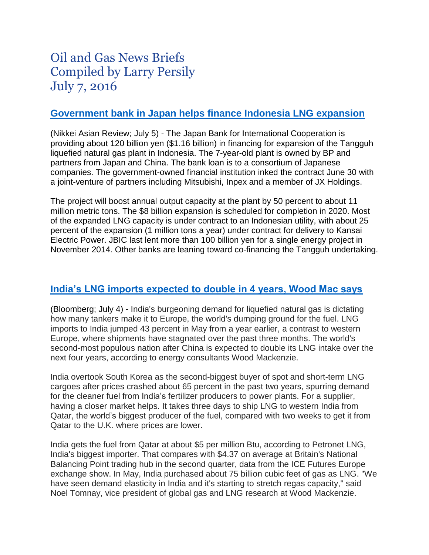# Oil and Gas News Briefs Compiled by Larry Persily July 7, 2016

#### **[Government bank in Japan helps finance Indonesia LNG expansion](http://asia.nikkei.com/Business/Companies/JBIC-financing-Indonesia-LNG-project)**

(Nikkei Asian Review; July 5) - The Japan Bank for International Cooperation is providing about 120 billion yen (\$1.16 billion) in financing for expansion of the Tangguh liquefied natural gas plant in Indonesia. The 7-year-old plant is owned by BP and partners from Japan and China. The bank loan is to a consortium of Japanese companies. The government-owned financial institution inked the contract June 30 with a joint-venture of partners including Mitsubishi, Inpex and a member of JX Holdings.

The project will boost annual output capacity at the plant by 50 percent to about 11 million metric tons. The \$8 billion expansion is scheduled for completion in 2020. Most of the expanded LNG capacity is under contract to an Indonesian utility, with about 25 percent of the expansion (1 million tons a year) under contract for delivery to Kansai Electric Power. JBIC last lent more than 100 billion yen for a single energy project in November 2014. Other banks are leaning toward co-financing the Tangguh undertaking.

#### **[India's LNG imports expected to double in 4 years, Wood Mac says](http://www.houstonchronicle.com/business/article/India-demand-surge-sucks-up-LNG-otherwise-meant-8340600.php)**

(Bloomberg; July 4) - India's burgeoning demand for liquefied natural gas is dictating how many tankers make it to Europe, the world's dumping ground for the fuel. LNG imports to India jumped 43 percent in May from a year earlier, a contrast to western Europe, where shipments have stagnated over the past three months. The world's second-most populous nation after China is expected to double its LNG intake over the next four years, according to energy consultants Wood Mackenzie.

India overtook South Korea as the second-biggest buyer of spot and short-term LNG cargoes after prices crashed about 65 percent in the past two years, spurring demand for the cleaner fuel from India's fertilizer producers to power plants. For a supplier, having a closer market helps. It takes three days to ship LNG to western India from Qatar, the world's biggest producer of the fuel, compared with two weeks to get it from Qatar to the U.K. where prices are lower.

India gets the fuel from Qatar at about \$5 per million Btu, according to Petronet LNG, India's biggest importer. That compares with \$4.37 on average at Britain's National Balancing Point trading hub in the second quarter, data from the ICE Futures Europe exchange show. In May, India purchased about 75 billion cubic feet of gas as LNG. "We have seen demand elasticity in India and it's starting to stretch regas capacity," said Noel Tomnay, vice president of global gas and LNG research at Wood Mackenzie.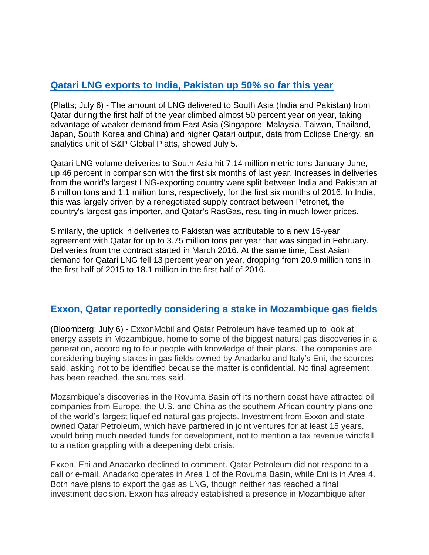## **Qatari [LNG exports to India, Pakistan up 50% so far this year](http://www.platts.com/latest-news/natural-gas/london/qatar-lng-to-south-asia-up-near-50-year-on-year-26485705)**

(Platts; July 6) - The amount of LNG delivered to South Asia (India and Pakistan) from Qatar during the first half of the year climbed almost 50 percent year on year, taking advantage of weaker demand from East Asia (Singapore, Malaysia, Taiwan, Thailand, Japan, South Korea and China) and higher Qatari output, data from Eclipse Energy, an analytics unit of S&P Global Platts, showed July 5.

Qatari LNG volume deliveries to South Asia hit 7.14 million metric tons January-June, up 46 percent in comparison with the first six months of last year. Increases in deliveries from the world's largest LNG-exporting country were split between India and Pakistan at 6 million tons and 1.1 million tons, respectively, for the first six months of 2016. In India, this was largely driven by a renegotiated supply contract between Petronet, the country's largest gas importer, and Qatar's RasGas, resulting in much lower prices.

Similarly, the uptick in deliveries to Pakistan was attributable to a new 15-year agreement with Qatar for up to 3.75 million tons per year that was singed in February. Deliveries from the contract started in March 2016. At the same time, East Asian demand for Qatari LNG fell 13 percent year on year, dropping from 20.9 million tons in the first half of 2015 to 18.1 million in the first half of 2016.

## **[Exxon, Qatar reportedly considering a stake in Mozambique gas fields](http://www.bloomberg.com/news/articles/2016-07-06/exxon-said-to-join-forces-with-qatar-for-mozambique-gas-assets)**

(Bloomberg; July 6) - ExxonMobil and Qatar Petroleum have teamed up to look at energy assets in Mozambique, home to some of the biggest natural gas discoveries in a generation, according to four people with knowledge of their plans. The companies are considering buying stakes in gas fields owned by Anadarko and Italy's Eni, the sources said, asking not to be identified because the matter is confidential. No final agreement has been reached, the sources said.

Mozambique's discoveries in the Rovuma Basin off its northern coast have attracted oil companies from Europe, the U.S. and China as the southern African country plans one of the world's largest liquefied natural gas projects. Investment from Exxon and stateowned Qatar Petroleum, which have partnered in joint ventures for at least 15 years, would bring much needed funds for development, not to mention a tax revenue windfall to a nation grappling with a deepening debt crisis.

Exxon, Eni and Anadarko declined to comment. Qatar Petroleum did not respond to a call or e-mail. Anadarko operates in Area 1 of the Rovuma Basin, while Eni is in Area 4. Both have plans to export the gas as LNG, though neither has reached a final investment decision. Exxon has already established a presence in Mozambique after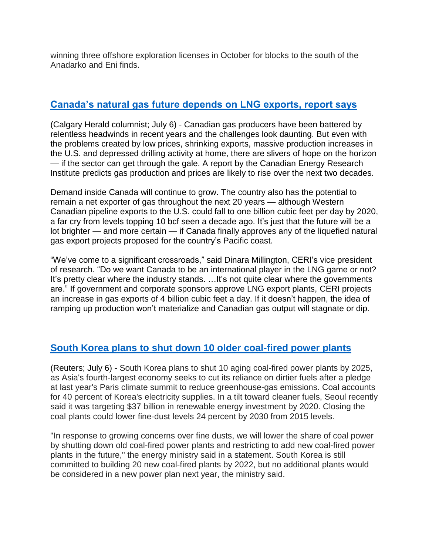winning three offshore exploration licenses in October for blocks to the south of the Anadarko and Eni finds.

#### **[Canada's natural gas future depends on LNG exports, report says](http://calgaryherald.com/business/energy/varcoe-canadian-natural-gas-outlook-appears-uncertain-but-signs-of-hope-emerge)**

(Calgary Herald columnist; July 6) - Canadian gas producers have been battered by relentless headwinds in recent years and the challenges look daunting. But even with the problems created by low prices, shrinking exports, massive production increases in the U.S. and depressed drilling activity at home, there are slivers of hope on the horizon — if the sector can get through the gale. A report by the Canadian Energy Research Institute predicts gas production and prices are likely to rise over the next two decades.

Demand inside Canada will continue to grow. The country also has the potential to remain a net exporter of gas throughout the next 20 years — although Western Canadian pipeline exports to the U.S. could fall to one billion cubic feet per day by 2020, a far cry from levels topping 10 bcf seen a decade ago. It's just that the future will be a lot brighter — and more certain — if Canada finally approves any of the liquefied natural gas export projects proposed for the country's Pacific coast.

"We've come to a significant crossroads," said Dinara Millington, CERI's vice president of research. "Do we want Canada to be an international player in the LNG game or not? It's pretty clear where the industry stands. ... It's not quite clear where the governments are." If government and corporate sponsors approve LNG export plants, CERI projects an increase in gas exports of 4 billion cubic feet a day. If it doesn't happen, the idea of ramping up production won't materialize and Canadian gas output will stagnate or dip.

## **[South Korea plans to shut down 10 older coal-fired power plants](http://uk.reuters.com/article/southkorea-coal-idUKL4N19S03C)**

(Reuters; July 6) - South Korea plans to shut 10 aging coal-fired power plants by 2025, as Asia's fourth-largest economy seeks to cut its reliance on dirtier fuels after a pledge at last year's Paris climate summit to reduce greenhouse-gas emissions. Coal accounts for 40 percent of Korea's electricity supplies. In a tilt toward cleaner fuels, Seoul recently said it was targeting \$37 billion in renewable energy investment by 2020. Closing the coal plants could lower fine-dust levels 24 percent by 2030 from 2015 levels.

"In response to growing concerns over fine dusts, we will lower the share of coal power by shutting down old coal-fired power plants and restricting to add new coal-fired power plants in the future," the energy ministry said in a statement. South Korea is still committed to building 20 new coal-fired plants by 2022, but no additional plants would be considered in a new power plan next year, the ministry said.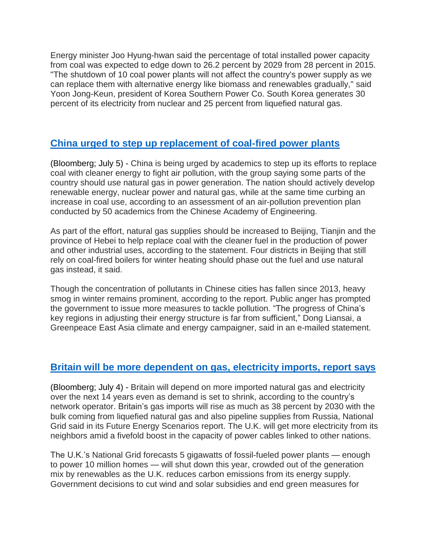Energy minister Joo Hyung-hwan said the percentage of total installed power capacity from coal was expected to edge down to 26.2 percent by 2029 from 28 percent in 2015. "The shutdown of 10 coal power plants will not affect the country's power supply as we can replace them with alternative energy like biomass and renewables gradually," said Yoon Jong-Keun, president of Korea Southern Power Co. South Korea generates 30 percent of its electricity from nuclear and 25 percent from liquefied natural gas.

## **[China urged to step up replacement of coal-fired power plants](http://www.bloomberg.com/news/articles/2016-07-06/china-urged-to-step-up-efforts-to-replace-coal-to-clean-air)**

(Bloomberg; July 5) - China is being urged by academics to step up its efforts to replace coal with cleaner energy to fight air pollution, with the group saying some parts of the country should use natural gas in power generation. The nation should actively develop renewable energy, nuclear power and natural gas, while at the same time curbing an increase in coal use, according to an assessment of an air-pollution prevention plan conducted by 50 academics from the Chinese Academy of Engineering.

As part of the effort, natural gas supplies should be increased to Beijing, Tianjin and the province of Hebei to help replace coal with the cleaner fuel in the production of power and other industrial uses, according to the statement. Four districts in Beijing that still rely on coal-fired boilers for winter heating should phase out the fuel and use natural gas instead, it said.

Though the concentration of pollutants in Chinese cities has fallen since 2013, heavy smog in winter remains prominent, according to the report. Public anger has prompted the government to issue more measures to tackle pollution. "The progress of China's key regions in adjusting their energy structure is far from sufficient," Dong Liansai, a Greenpeace East Asia climate and energy campaigner, said in an e-mailed statement.

#### **[Britain will be more dependent on gas, electricity](http://www.bloomberg.com/news/articles/2016-07-04/u-k-reliance-on-electricity-natgas-imports-to-increase-by-2030) imports, report says**

(Bloomberg; July 4) - Britain will depend on more imported natural gas and electricity over the next 14 years even as demand is set to shrink, according to the country's network operator. Britain's gas imports will rise as much as 38 percent by 2030 with the bulk coming from liquefied natural gas and also pipeline supplies from Russia, National Grid said in its Future Energy Scenarios report. The U.K. will get more electricity from its neighbors amid a fivefold boost in the capacity of power cables linked to other nations.

The U.K.'s National Grid forecasts 5 gigawatts of fossil-fueled power plants — enough to power 10 million homes — will shut down this year, crowded out of the generation mix by renewables as the U.K. reduces carbon emissions from its energy supply. Government decisions to cut wind and solar subsidies and end green measures for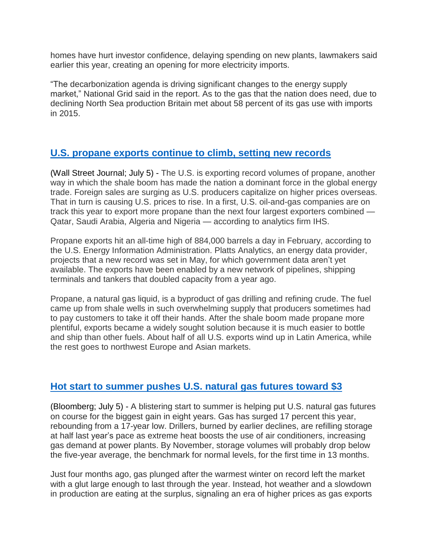homes have hurt investor confidence, delaying spending on new plants, lawmakers said earlier this year, creating an opening for more electricity imports.

"The decarbonization agenda is driving significant changes to the energy supply market," National Grid said in the report. As to the gas that the nation does need, due to declining North Sea production Britain met about 58 percent of its gas use with imports in 2015.

#### **[U.S. propane exports continue to climb, setting new records](http://www.wsj.com/articles/the-shale-booms-new-winner-propane-1467464624)**

(Wall Street Journal; July 5) - The U.S. is exporting record volumes of propane, another way in which the shale boom has made the nation a dominant force in the global energy trade. Foreign sales are surging as U.S. producers capitalize on higher prices overseas. That in turn is causing U.S. prices to rise. In a first, U.S. oil-and-gas companies are on track this year to export more propane than the next four largest exporters combined — Qatar, Saudi Arabia, Algeria and Nigeria — according to analytics firm IHS.

Propane exports hit an all-time high of 884,000 barrels a day in February, according to the U.S. Energy Information Administration. Platts Analytics, an energy data provider, projects that a new record was set in May, for which government data aren't yet available. The exports have been enabled by a new network of pipelines, shipping terminals and tankers that doubled capacity from a year ago.

Propane, a natural gas liquid, is a byproduct of gas drilling and refining crude. The fuel came up from shale wells in such overwhelming supply that producers sometimes had to pay customers to take it off their hands. After the shale boom made propane more plentiful, exports became a widely sought solution because it is much easier to bottle and ship than other fuels. About half of all U.S. exports wind up in Latin America, while the rest goes to northwest Europe and Asian markets.

## **[Hot start to summer pushes U.S. natural gas futures toward](http://www.bloomberg.com/news/articles/2016-07-05/record-heat-wiping-out-u-s-gas-glut-fuels-best-rally-since-08) \$3**

(Bloomberg; July 5) - A blistering start to summer is helping put U.S. natural gas futures on course for the biggest gain in eight years. Gas has surged 17 percent this year, rebounding from a 17-year low. Drillers, burned by earlier declines, are refilling storage at half last year's pace as extreme heat boosts the use of air conditioners, increasing gas demand at power plants. By November, storage volumes will probably drop below the five-year average, the benchmark for normal levels, for the first time in 13 months.

Just four months ago, gas plunged after the warmest winter on record left the market with a glut large enough to last through the year. Instead, hot weather and a slowdown in production are eating at the surplus, signaling an era of higher prices as gas exports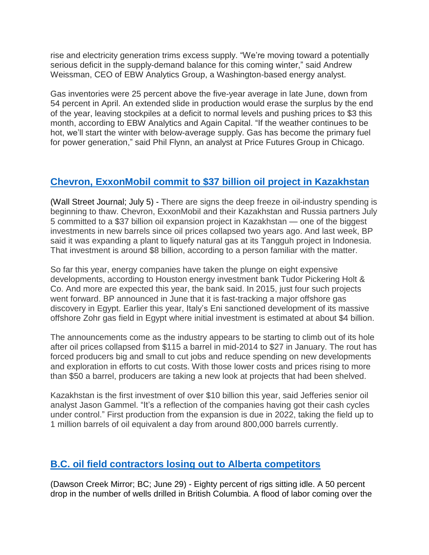rise and electricity generation trims excess supply. "We're moving toward a potentially serious deficit in the supply-demand balance for this coming winter," said Andrew Weissman, CEO of EBW Analytics Group, a Washington-based energy analyst.

Gas inventories were 25 percent above the five-year average in late June, down from 54 percent in April. An extended slide in production would erase the surplus by the end of the year, leaving stockpiles at a deficit to normal levels and pushing prices to \$3 this month, according to EBW Analytics and Again Capital. "If the weather continues to be hot, we'll start the winter with below-average supply. Gas has become the primary fuel for power generation," said Phil Flynn, an analyst at Price Futures Group in Chicago.

# **Chevron, [ExxonMobil](http://www.wsj.com/articles/chevron-exxon-commit-to-36-8-billion-expansion-project-in-tengiz-1467709203) commit to \$37 billion oil project in Kazakhstan**

(Wall Street Journal; July 5) - There are signs the deep freeze in oil-industry spending is beginning to thaw. Chevron, ExxonMobil and their Kazakhstan and Russia partners July 5 committed to a \$37 billion oil expansion project in Kazakhstan — one of the biggest investments in new barrels since oil prices collapsed two years ago. And last week, BP said it was expanding a plant to liquefy natural gas at its Tangguh project in Indonesia. That investment is around \$8 billion, according to a person familiar with the matter.

So far this year, energy companies have taken the plunge on eight expensive developments, according to Houston energy investment bank Tudor Pickering Holt & Co. And more are expected this year, the bank said. In 2015, just four such projects went forward. BP announced in June that it is fast-tracking a major offshore gas discovery in Egypt. Earlier this year, Italy's Eni sanctioned development of its massive offshore Zohr gas field in Egypt where initial investment is estimated at about \$4 billion.

The announcements come as the industry appears to be starting to climb out of its hole after oil prices collapsed from \$115 a barrel in mid-2014 to \$27 in January. The rout has forced producers big and small to cut jobs and reduce spending on new developments and exploration in efforts to cut costs. With those lower costs and prices rising to more than \$50 a barrel, producers are taking a new look at projects that had been shelved.

Kazakhstan is the first investment of over \$10 billion this year, said Jefferies senior oil analyst Jason Gammel. "It's a reflection of the companies having got their cash cycles under control." First production from the expansion is due in 2022, taking the field up to 1 million barrels of oil equivalent a day from around 800,000 barrels currently.

## **[B.C. oil field contractors losing out to Alberta competitors](http://www.dawsoncreekmirror.ca/regional-news/lng/drilling-statistics-reveal-grim-state-of-b-c-s-oil-and-gas-industry-1.2290731)**

(Dawson Creek Mirror; BC; June 29) - Eighty percent of rigs sitting idle. A 50 percent drop in the number of wells drilled in British Columbia. A flood of labor coming over the